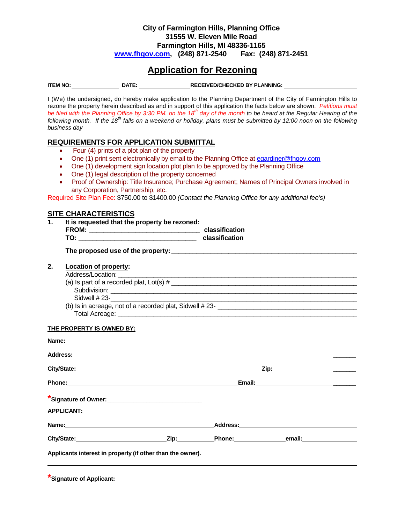### **City of Farmington Hills, Planning Office 31555 W. Eleven Mile Road Farmington Hills, MI 48336-1165 [www.fhgov.com,](http://www.fhgov.com/) (248) 871-2540 Fax: (248) 871-2451**

# **Application for Rezoning**

**ITEM NO: DATE: RECEIVED/CHECKED BY PLANNING:** 

I (We) the undersigned, do hereby make application to the Planning Department of the City of Farmington Hills to rezone the property herein described as and in support of this application the facts below are shown. *Petitions must be filed with the Planning Office by 3:30 PM. on the 18th day of the month to be heard at the Regular Hearing of the following month. If the 18th falls on a weekend or holiday, plans must be submitted by 12:00 noon on the following business day*

### **REQUIREMENTS FOR APPLICATION SUBMITTAL**

- •Four (4) prints of a plot plan of the property
- One (1) print sent electronically by email to the Planning Office at egardiner@fhgov.com
- One (1) development sign location plot plan to be approved by the Planning Office
- One (1) legal description of the property concerned
- Proof of Ownership: Title Insurance; Purchase Agreement; Names of Principal Owners involved in any Corporation, Partnership, etc.

Required Site Plan Fee: \$750.00 to \$1400.00 *(Contact the Planning Office for any additional fee's)*

### **SITE CHARACTERISTICS**

**1. It is requested that the property be rezoned:**

| <b>FROM:</b> | classification |  |  |
|--------------|----------------|--|--|
| TO:          | classification |  |  |

**The proposed use of the property: \_\_\_\_\_\_\_\_\_\_\_\_\_\_\_\_\_\_\_\_\_\_\_\_\_\_\_\_\_\_\_\_\_\_\_\_\_\_\_\_\_\_\_\_\_\_\_\_\_\_\_\_**

### **2. Location of property:**

Address/Location:

### **THE PROPERTY IS OWNED BY:**

|                   | Address: National Address: National Address: National Address: National Address: National Address: National Address: National Address: National Address: National Address: National Address: National Address: National Addres |                         |  |  |  |
|-------------------|--------------------------------------------------------------------------------------------------------------------------------------------------------------------------------------------------------------------------------|-------------------------|--|--|--|
|                   |                                                                                                                                                                                                                                | City/State: City/State: |  |  |  |
|                   |                                                                                                                                                                                                                                |                         |  |  |  |
|                   | *Signature of Owner: _________________________________                                                                                                                                                                         |                         |  |  |  |
| <b>APPLICANT:</b> |                                                                                                                                                                                                                                |                         |  |  |  |
|                   |                                                                                                                                                                                                                                |                         |  |  |  |
|                   |                                                                                                                                                                                                                                |                         |  |  |  |
|                   | Applicants interest in property (if other than the owner).                                                                                                                                                                     |                         |  |  |  |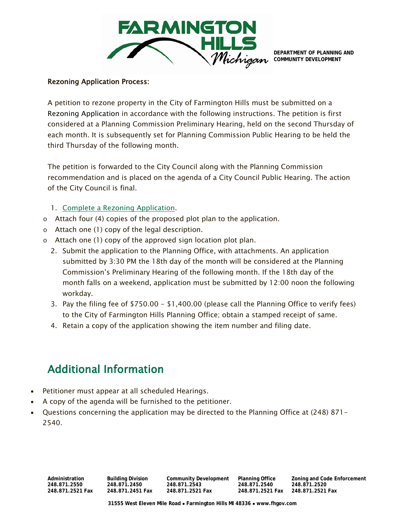

**DEPARTMENT OF PLANNING AND COMMUNITY DEVELOPMENT**

### Rezoning Application Process:

A petition to rezone property in the City of Farmington Hills must be submitted on a [Rezoning Application](http://ci.farmington-hills.mi.us/Forms/PCD-RezoningApp.aspx) in accordance with the following instructions. The petition is first considered at a Planning Commission Preliminary Hearing, held on the second Thursday of each month. It is subsequently set for Planning Commission Public Hearing to be held the third Thursday of the following month.

The petition is forwarded to the City Council along with the Planning Commission recommendation and is placed on the agenda of a City Council Public Hearing. The action of the City Council is final.

- 1. [Complete a Rezoning Application.](http://ci.farmington-hills.mi.us/Forms/PCD-RezoningApp.aspx)
- o Attach four (4) copies of the proposed plot plan to the application.
- o Attach one (1) copy of the legal description.
- o Attach one (1) copy of the approved sign location plot plan.
	- 2. Submit the application to the Planning Office, with attachments. An application submitted by 3:30 PM the 18th day of the month will be considered at the Planning Commission's Preliminary Hearing of the following month. If the 18th day of the month falls on a weekend, application must be submitted by 12:00 noon the following workday.
	- 3. Pay the filing fee of \$750.00 \$1,400.00 (please call the Planning Office to verify fees) to the City of Farmington Hills Planning Office; obtain a stamped receipt of same.
	- 4. Retain a copy of the application showing the item number and filing date.

# Additional Information

- Petitioner must appear at all scheduled Hearings.
- A copy of the agenda will be furnished to the petitioner.
- Questions concerning the application may be directed to the Planning Office at (248) 871- 2540.